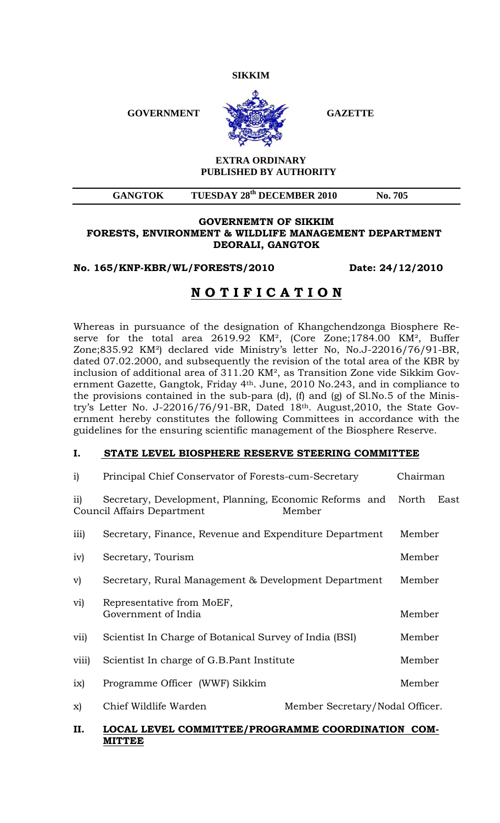**SIKKIM** 

GOVERNMENT SAZETTE



### **EXTRA ORDINARY PUBLISHED BY AUTHORITY**

# GANGTOK TUESDAY 28<sup>th</sup> DECEMBER 2010 No. 705

#### **GOVERNEMTN OF SIKKIM FORESTS, ENVIRONMENT & WILDLIFE MANAGEMENT DEPARTMENT DEORALI, GANGTOK**

**No. 165/KNP-KBR/WL/FORESTS/2010 Date: 24/12/2010** 

# **N O T I F I C A T I O N**

Whereas in pursuance of the designation of Khangchendzonga Biosphere Reserve for the total area 2619.92 KM², (Core Zone;1784.00 KM², Buffer Zone;835.92 KM²) declared vide Ministry's letter No, No.J-22016/76/91-BR, dated 07.02.2000, and subsequently the revision of the total area of the KBR by inclusion of additional area of 311.20 KM², as Transition Zone vide Sikkim Government Gazette, Gangtok, Friday 4th. June, 2010 No.243, and in compliance to the provisions contained in the sub-para (d), (f) and (g) of Sl.No.5 of the Ministry's Letter No. J-22016/76/91-BR, Dated 18th. August,2010, the State Government hereby constitutes the following Committees in accordance with the guidelines for the ensuring scientific management of the Biosphere Reserve.

## **I. STATE LEVEL BIOSPHERE RESERVE STEERING COMMITTEE**

| i)               | Principal Chief Conservator of Forests-cum-Secretary                                 |                                 | Chairman      |
|------------------|--------------------------------------------------------------------------------------|---------------------------------|---------------|
| $\overline{11}$  | Secretary, Development, Planning, Economic Reforms and<br>Council Affairs Department | Member                          | North<br>East |
| $\overline{iii}$ | Secretary, Finance, Revenue and Expenditure Department                               |                                 | Member        |
| iv)              | Secretary, Tourism                                                                   |                                 | Member        |
| V)               | Secretary, Rural Management & Development Department                                 |                                 | Member        |
| vi)              | Representative from MoEF,<br>Government of India                                     |                                 | Member        |
| vii)             | Scientist In Charge of Botanical Survey of India (BSI)                               |                                 | Member        |
| viii)            | Scientist In charge of G.B. Pant Institute                                           |                                 | Member        |
| ix)              | Programme Officer (WWF) Sikkim                                                       |                                 | Member        |
| X)               | Chief Wildlife Warden                                                                | Member Secretary/Nodal Officer. |               |

## **II. LOCAL LEVEL COMMITTEE/PROGRAMME COORDINATION COM-MITTEE**